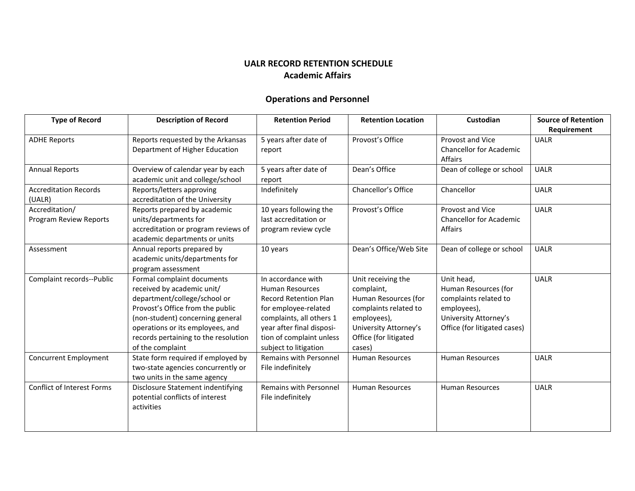## **UALR RECORD RETENTION SCHEDULE Academic Affairs**

## **Operations and Personnel**

| <b>Type of Record</b>         | <b>Description of Record</b>         | <b>Retention Period</b>      | <b>Retention Location</b> | Custodian                      | <b>Source of Retention</b> |
|-------------------------------|--------------------------------------|------------------------------|---------------------------|--------------------------------|----------------------------|
|                               |                                      |                              |                           |                                | Requirement                |
| <b>ADHE Reports</b>           | Reports requested by the Arkansas    | 5 years after date of        | Provost's Office          | Provost and Vice               | <b>UALR</b>                |
|                               | Department of Higher Education       | report                       |                           | <b>Chancellor for Academic</b> |                            |
|                               |                                      |                              |                           | Affairs                        |                            |
| <b>Annual Reports</b>         | Overview of calendar year by each    | 5 years after date of        | Dean's Office             | Dean of college or school      | <b>UALR</b>                |
|                               | academic unit and college/school     | report                       |                           |                                |                            |
| <b>Accreditation Records</b>  | Reports/letters approving            | Indefinitely                 | Chancellor's Office       | Chancellor                     | <b>UALR</b>                |
| (UALR)                        | accreditation of the University      |                              |                           |                                |                            |
| Accreditation/                | Reports prepared by academic         | 10 years following the       | Provost's Office          | Provost and Vice               | <b>UALR</b>                |
| <b>Program Review Reports</b> | units/departments for                | last accreditation or        |                           | <b>Chancellor for Academic</b> |                            |
|                               | accreditation or program reviews of  | program review cycle         |                           | Affairs                        |                            |
|                               | academic departments or units        |                              |                           |                                |                            |
| Assessment                    | Annual reports prepared by           | 10 years                     | Dean's Office/Web Site    | Dean of college or school      | <b>UALR</b>                |
|                               | academic units/departments for       |                              |                           |                                |                            |
|                               | program assessment                   |                              |                           |                                |                            |
| Complaint records--Public     | Formal complaint documents           | In accordance with           | Unit receiving the        | Unit head,                     | <b>UALR</b>                |
|                               | received by academic unit/           | <b>Human Resources</b>       | complaint,                | Human Resources (for           |                            |
|                               | department/college/school or         | <b>Record Retention Plan</b> | Human Resources (for      | complaints related to          |                            |
|                               | Provost's Office from the public     | for employee-related         | complaints related to     | employees),                    |                            |
|                               | (non-student) concerning general     | complaints, all others 1     | employees),               | University Attorney's          |                            |
|                               | operations or its employees, and     | year after final disposi-    | University Attorney's     | Office (for litigated cases)   |                            |
|                               | records pertaining to the resolution | tion of complaint unless     | Office (for litigated     |                                |                            |
|                               | of the complaint                     | subject to litigation        | cases)                    |                                |                            |
| Concurrent Employment         | State form required if employed by   | Remains with Personnel       | <b>Human Resources</b>    | <b>Human Resources</b>         | <b>UALR</b>                |
|                               | two-state agencies concurrently or   | File indefinitely            |                           |                                |                            |
|                               | two units in the same agency         |                              |                           |                                |                            |
| Conflict of Interest Forms    | Disclosure Statement indentifying    | Remains with Personnel       | <b>Human Resources</b>    | <b>Human Resources</b>         | <b>UALR</b>                |
|                               | potential conflicts of interest      | File indefinitely            |                           |                                |                            |
|                               | activities                           |                              |                           |                                |                            |
|                               |                                      |                              |                           |                                |                            |
|                               |                                      |                              |                           |                                |                            |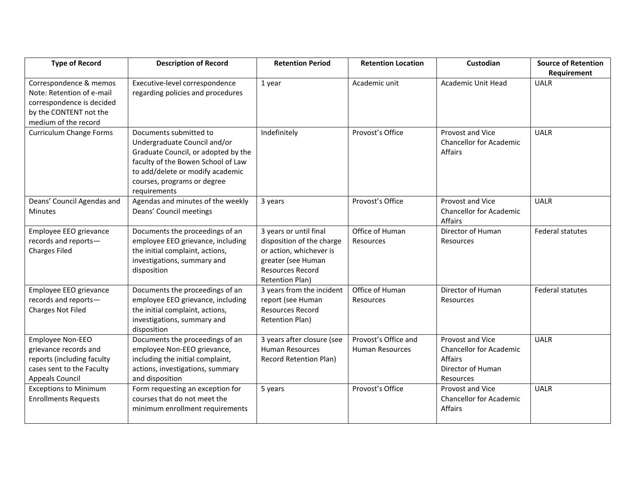| <b>Type of Record</b>                                                                                                              | <b>Description of Record</b>                                                                                                                                                                                           | <b>Retention Period</b>                                                                                                                                   | <b>Retention Location</b>               | Custodian                                                                                       | <b>Source of Retention</b><br>Requirement |
|------------------------------------------------------------------------------------------------------------------------------------|------------------------------------------------------------------------------------------------------------------------------------------------------------------------------------------------------------------------|-----------------------------------------------------------------------------------------------------------------------------------------------------------|-----------------------------------------|-------------------------------------------------------------------------------------------------|-------------------------------------------|
| Correspondence & memos<br>Note: Retention of e-mail<br>correspondence is decided<br>by the CONTENT not the<br>medium of the record | Executive-level correspondence<br>regarding policies and procedures                                                                                                                                                    | 1 year                                                                                                                                                    | Academic unit                           | <b>Academic Unit Head</b>                                                                       | <b>UALR</b>                               |
| <b>Curriculum Change Forms</b>                                                                                                     | Documents submitted to<br>Undergraduate Council and/or<br>Graduate Council, or adopted by the<br>faculty of the Bowen School of Law<br>to add/delete or modify academic<br>courses, programs or degree<br>requirements | Indefinitely                                                                                                                                              | Provost's Office                        | Provost and Vice<br><b>Chancellor for Academic</b><br><b>Affairs</b>                            | <b>UALR</b>                               |
| Deans' Council Agendas and<br><b>Minutes</b>                                                                                       | Agendas and minutes of the weekly<br>Deans' Council meetings                                                                                                                                                           | 3 years                                                                                                                                                   | Provost's Office                        | Provost and Vice<br><b>Chancellor for Academic</b><br>Affairs                                   | <b>UALR</b>                               |
| Employee EEO grievance<br>records and reports-<br><b>Charges Filed</b>                                                             | Documents the proceedings of an<br>employee EEO grievance, including<br>the initial complaint, actions,<br>investigations, summary and<br>disposition                                                                  | 3 years or until final<br>disposition of the charge<br>or action, whichever is<br>greater (see Human<br><b>Resources Record</b><br><b>Retention Plan)</b> | Office of Human<br>Resources            | Director of Human<br><b>Resources</b>                                                           | <b>Federal statutes</b>                   |
| Employee EEO grievance<br>records and reports-<br><b>Charges Not Filed</b>                                                         | Documents the proceedings of an<br>employee EEO grievance, including<br>the initial complaint, actions,<br>investigations, summary and<br>disposition                                                                  | 3 years from the incident<br>report (see Human<br><b>Resources Record</b><br><b>Retention Plan)</b>                                                       | Office of Human<br>Resources            | Director of Human<br>Resources                                                                  | <b>Federal statutes</b>                   |
| Employee Non-EEO<br>grievance records and<br>reports (including faculty<br>cases sent to the Faculty<br><b>Appeals Council</b>     | Documents the proceedings of an<br>employee Non-EEO grievance,<br>including the initial complaint,<br>actions, investigations, summary<br>and disposition                                                              | 3 years after closure (see<br><b>Human Resources</b><br><b>Record Retention Plan)</b>                                                                     | Provost's Office and<br>Human Resources | Provost and Vice<br><b>Chancellor for Academic</b><br>Affairs<br>Director of Human<br>Resources | <b>UALR</b>                               |
| <b>Exceptions to Minimum</b><br><b>Enrollments Requests</b>                                                                        | Form requesting an exception for<br>courses that do not meet the<br>minimum enrollment requirements                                                                                                                    | 5 years                                                                                                                                                   | Provost's Office                        | Provost and Vice<br><b>Chancellor for Academic</b><br><b>Affairs</b>                            | <b>UALR</b>                               |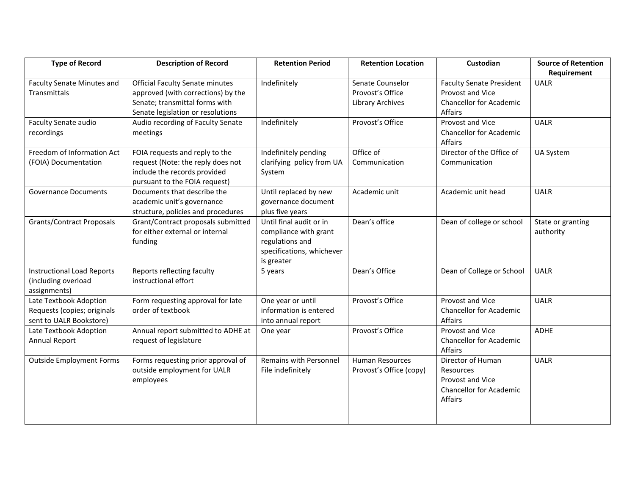| Requirement<br>Indefinitely<br><b>Faculty Senate Minutes and</b><br><b>Official Faculty Senate minutes</b><br>Senate Counselor<br><b>Faculty Senate President</b><br><b>UALR</b><br>Transmittals<br>approved (with corrections) by the<br>Provost's Office<br>Provost and Vice<br>Senate; transmittal forms with<br><b>Chancellor for Academic</b><br>Library Archives<br>Senate legislation or resolutions<br>Affairs<br>Provost and Vice<br>Audio recording of Faculty Senate<br>Indefinitely<br>Provost's Office<br><b>UALR</b><br><b>Faculty Senate audio</b><br>recordings<br><b>Chancellor for Academic</b><br>meetings |
|-------------------------------------------------------------------------------------------------------------------------------------------------------------------------------------------------------------------------------------------------------------------------------------------------------------------------------------------------------------------------------------------------------------------------------------------------------------------------------------------------------------------------------------------------------------------------------------------------------------------------------|
|                                                                                                                                                                                                                                                                                                                                                                                                                                                                                                                                                                                                                               |
|                                                                                                                                                                                                                                                                                                                                                                                                                                                                                                                                                                                                                               |
|                                                                                                                                                                                                                                                                                                                                                                                                                                                                                                                                                                                                                               |
|                                                                                                                                                                                                                                                                                                                                                                                                                                                                                                                                                                                                                               |
|                                                                                                                                                                                                                                                                                                                                                                                                                                                                                                                                                                                                                               |
|                                                                                                                                                                                                                                                                                                                                                                                                                                                                                                                                                                                                                               |
|                                                                                                                                                                                                                                                                                                                                                                                                                                                                                                                                                                                                                               |
| Affairs                                                                                                                                                                                                                                                                                                                                                                                                                                                                                                                                                                                                                       |
| Office of<br>Director of the Office of<br>Freedom of Information Act<br>FOIA requests and reply to the<br>Indefinitely pending<br><b>UA System</b>                                                                                                                                                                                                                                                                                                                                                                                                                                                                            |
| request (Note: the reply does not<br>(FOIA) Documentation<br>clarifying policy from UA<br>Communication<br>Communication                                                                                                                                                                                                                                                                                                                                                                                                                                                                                                      |
| include the records provided<br>System                                                                                                                                                                                                                                                                                                                                                                                                                                                                                                                                                                                        |
| pursuant to the FOIA request)                                                                                                                                                                                                                                                                                                                                                                                                                                                                                                                                                                                                 |
| Documents that describe the<br>Until replaced by new<br>Academic unit<br><b>UALR</b><br><b>Governance Documents</b><br>Academic unit head                                                                                                                                                                                                                                                                                                                                                                                                                                                                                     |
| academic unit's governance<br>governance document                                                                                                                                                                                                                                                                                                                                                                                                                                                                                                                                                                             |
| structure, policies and procedures<br>plus five years                                                                                                                                                                                                                                                                                                                                                                                                                                                                                                                                                                         |
| Grant/Contract proposals submitted<br>Until final audit or in<br>Dean's office<br>Dean of college or school<br><b>Grants/Contract Proposals</b><br>State or granting                                                                                                                                                                                                                                                                                                                                                                                                                                                          |
| for either external or internal<br>compliance with grant<br>authority                                                                                                                                                                                                                                                                                                                                                                                                                                                                                                                                                         |
| regulations and<br>funding                                                                                                                                                                                                                                                                                                                                                                                                                                                                                                                                                                                                    |
| specifications, whichever                                                                                                                                                                                                                                                                                                                                                                                                                                                                                                                                                                                                     |
| is greater                                                                                                                                                                                                                                                                                                                                                                                                                                                                                                                                                                                                                    |
| Dean's Office<br>Dean of College or School<br>Reports reflecting faculty<br><b>UALR</b><br><b>Instructional Load Reports</b><br>5 years                                                                                                                                                                                                                                                                                                                                                                                                                                                                                       |
| instructional effort<br>(including overload                                                                                                                                                                                                                                                                                                                                                                                                                                                                                                                                                                                   |
| assignments)                                                                                                                                                                                                                                                                                                                                                                                                                                                                                                                                                                                                                  |
| Late Textbook Adoption<br>Form requesting approval for late<br>One year or until<br>Provost's Office<br>Provost and Vice<br><b>UALR</b>                                                                                                                                                                                                                                                                                                                                                                                                                                                                                       |
| Requests (copies; originals<br>order of textbook<br>information is entered<br><b>Chancellor for Academic</b>                                                                                                                                                                                                                                                                                                                                                                                                                                                                                                                  |
| Affairs<br>sent to UALR Bookstore)<br>into annual report                                                                                                                                                                                                                                                                                                                                                                                                                                                                                                                                                                      |
| Annual report submitted to ADHE at<br>Provost's Office<br>Provost and Vice<br>ADHE<br>Late Textbook Adoption<br>One year                                                                                                                                                                                                                                                                                                                                                                                                                                                                                                      |
| Annual Report<br>request of legislature<br><b>Chancellor for Academic</b>                                                                                                                                                                                                                                                                                                                                                                                                                                                                                                                                                     |
| Affairs                                                                                                                                                                                                                                                                                                                                                                                                                                                                                                                                                                                                                       |
| Forms requesting prior approval of<br>Remains with Personnel<br>Director of Human<br><b>UALR</b><br><b>Outside Employment Forms</b><br><b>Human Resources</b>                                                                                                                                                                                                                                                                                                                                                                                                                                                                 |
| outside employment for UALR<br>File indefinitely<br>Provost's Office (copy)<br>Resources                                                                                                                                                                                                                                                                                                                                                                                                                                                                                                                                      |
| Provost and Vice<br>employees                                                                                                                                                                                                                                                                                                                                                                                                                                                                                                                                                                                                 |
| <b>Chancellor for Academic</b><br>Affairs                                                                                                                                                                                                                                                                                                                                                                                                                                                                                                                                                                                     |
|                                                                                                                                                                                                                                                                                                                                                                                                                                                                                                                                                                                                                               |
|                                                                                                                                                                                                                                                                                                                                                                                                                                                                                                                                                                                                                               |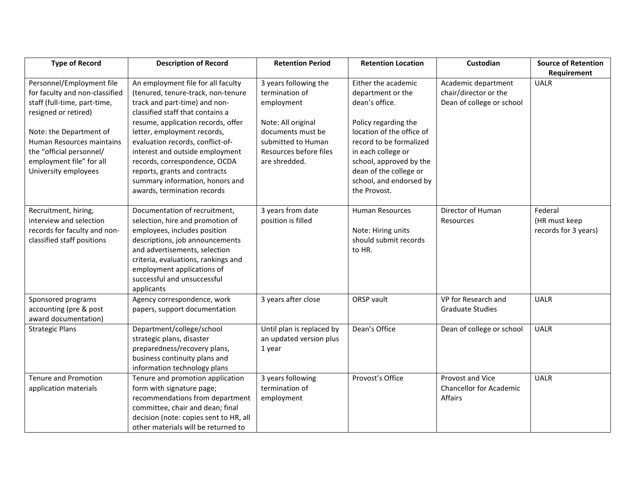| <b>Type of Record</b>          | <b>Description of Record</b>           | <b>Retention Period</b>   | <b>Retention Location</b> | Custodian                      | <b>Source of Retention</b> |
|--------------------------------|----------------------------------------|---------------------------|---------------------------|--------------------------------|----------------------------|
|                                |                                        |                           |                           |                                | Requirement                |
| Personnel/Employment file      | An employment file for all faculty     | 3 years following the     | Either the academic       | Academic department            | <b>UALR</b>                |
| for faculty and non-classified | (tenured, tenure-track, non-tenure     | termination of            | department or the         | chair/director or the          |                            |
| staff (full-time, part-time,   | track and part-time) and non-          | employment                | dean's office.            | Dean of college or school      |                            |
| resigned or retired)           | classified staff that contains a       |                           |                           |                                |                            |
|                                | resume, application records, offer     | Note: All original        | Policy regarding the      |                                |                            |
| Note: the Department of        | letter, employment records,            | documents must be         | location of the office of |                                |                            |
| Human Resources maintains      | evaluation records, conflict-of-       | submitted to Human        | record to be formalized   |                                |                            |
| the "official personnel/       | interest and outside employment        | Resources before files    | in each college or        |                                |                            |
| employment file" for all       | records, correspondence, OCDA          | are shredded.             | school, approved by the   |                                |                            |
| University employees           | reports, grants and contracts          |                           | dean of the college or    |                                |                            |
|                                | summary information, honors and        |                           | school, and endorsed by   |                                |                            |
|                                | awards, termination records            |                           | the Provost.              |                                |                            |
|                                |                                        |                           |                           |                                |                            |
| Recruitment, hiring,           | Documentation of recruitment,          | 3 years from date         | <b>Human Resources</b>    | Director of Human              | Federal                    |
| interview and selection        | selection, hire and promotion of       | position is filled        |                           | Resources                      | (HR must keep              |
| records for faculty and non-   | employees, includes position           |                           | Note: Hiring units        |                                | records for 3 years)       |
| classified staff positions     | descriptions, job announcements        |                           | should submit records     |                                |                            |
|                                | and advertisements, selection          |                           | to HR.                    |                                |                            |
|                                | criteria, evaluations, rankings and    |                           |                           |                                |                            |
|                                | employment applications of             |                           |                           |                                |                            |
|                                | successful and unsuccessful            |                           |                           |                                |                            |
|                                | applicants                             |                           |                           |                                |                            |
| Sponsored programs             | Agency correspondence, work            | 3 years after close       | <b>ORSP</b> vault         | VP for Research and            | <b>UALR</b>                |
| accounting (pre & post         | papers, support documentation          |                           |                           | <b>Graduate Studies</b>        |                            |
| award documentation)           |                                        |                           |                           |                                |                            |
| <b>Strategic Plans</b>         | Department/college/school              | Until plan is replaced by | Dean's Office             | Dean of college or school      | <b>UALR</b>                |
|                                | strategic plans, disaster              | an updated version plus   |                           |                                |                            |
|                                | preparedness/recovery plans,           | 1 year                    |                           |                                |                            |
|                                | business continuity plans and          |                           |                           |                                |                            |
|                                | information technology plans           |                           |                           |                                |                            |
| Tenure and Promotion           | Tenure and promotion application       | 3 years following         | Provost's Office          | Provost and Vice               | <b>UALR</b>                |
| application materials          | form with signature page;              | termination of            |                           | <b>Chancellor for Academic</b> |                            |
|                                | recommendations from department        | employment                |                           | Affairs                        |                            |
|                                | committee, chair and dean; final       |                           |                           |                                |                            |
|                                | decision (note: copies sent to HR, all |                           |                           |                                |                            |
|                                | other materials will be returned to    |                           |                           |                                |                            |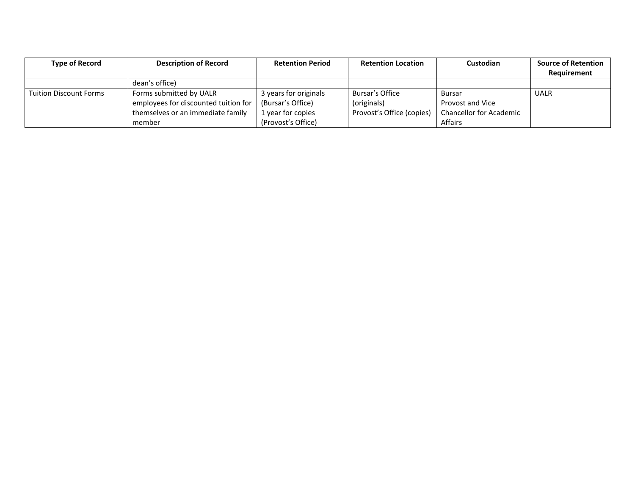| <b>Type of Record</b>         | <b>Description of Record</b>         | <b>Retention Period</b> | <b>Retention Location</b> | Custodian                      | <b>Source of Retention</b> |
|-------------------------------|--------------------------------------|-------------------------|---------------------------|--------------------------------|----------------------------|
|                               |                                      |                         |                           |                                | Requirement                |
|                               | dean's office)                       |                         |                           |                                |                            |
| <b>Tuition Discount Forms</b> | Forms submitted by UALR              | 3 years for originals   | Bursar's Office           | <b>Bursar</b>                  | <b>UALR</b>                |
|                               | employees for discounted tuition for | (Bursar's Office)       | (originals)               | Provost and Vice               |                            |
|                               | themselves or an immediate family    | 1 year for copies       | Provost's Office (copies) | <b>Chancellor for Academic</b> |                            |
|                               | member                               | (Provost's Office)      |                           | Affairs                        |                            |